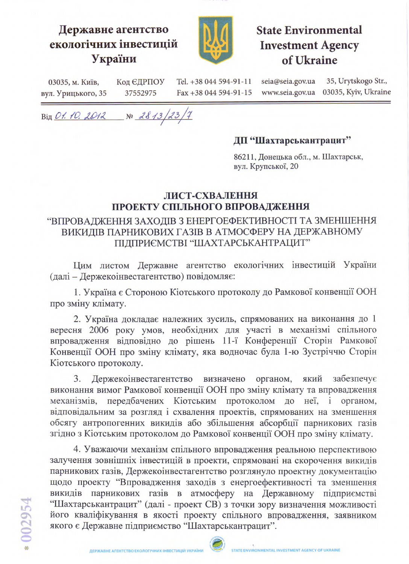

## Державне агентство екологічних інвестицій України



# **State Environmental Investment Agency** of Ukraine

seia@seia.gov.ua 35, Urytskogo Str., Tel. +38 044 594-91-11 Код ЄДРПОУ 03035, м. Київ, www.seia.gov.ua 03035, Kyiv, Ukraine вул. Урицького, 35 37552975 Fax +38 044 594-91-15

Big 01.10.2012  $N^{\circ}$  2813/23/7

#### ДП "Шахтарськантрацит"

86211, Донецька обл., м. Шахтарськ, вул. Крупської, 20

### ЛИСТ-СХВАЛЕННЯ ПРОЕКТУ СПІЛЬНОГО ВПРОВАДЖЕННЯ

#### "ВПРОВАДЖЕННЯ ЗАХОДІВ З ЕНЕРГОЕФЕКТИВНОСТІ ТА ЗМЕНШЕННЯ ВИКИДІВ ПАРНИКОВИХ ГАЗІВ В АТМОСФЕРУ НА ДЕРЖАВНОМУ ПІДПРИЄМСТВІ "ШАХТАРСЬКАНТРАЦИТ"

Цим листом Державне агентство екологічних інвестицій України (далі - Держекоінвестагентство) повідомляє:

1. Україна є Стороною Кіотського протоколу до Рамкової конвенції ООН про зміну клімату.

2. Україна докладає належних зусиль, спрямованих на виконання до 1 вересня 2006 року умов, необхідних для участі в механізмі спільного впровадження відповідно до рішень 11-ї Конференції Сторін Рамкової Конвенції ООН про зміну клімату, яка водночас була 1-ю Зустріччю Сторін Кіотського протоколу.

3. Держекоінвестагентство визначено органом, який забезпечує виконання вимог Рамкової конвенції ООН про зміну клімату та впровадження механізмів, передбачених Кіотським протоколом до неї, і органом, відповідальним за розгляд і схвалення проектів, спрямованих на зменшення обсягу антропогенних викидів або збільшення абсорбції парникових газів згідно з Кіотським протоколом до Рамкової конвенції ООН про зміну клімату.

4. Уважаючи механізм спільного впровадження реальною перспективою залучення зовнішніх інвестицій в проекти, спрямовані на скорочення викидів парникових газів, Держекоінвестагентство розглянуло проектну документацію щодо проекту "Впровадження заходів з енергоефективності та зменшення викидів парникових газів в атмосферу на Державному підприємстві "Шахтарськантрацит" (далі - проект СВ) з точки зору визначення можливості його кваліфікування в якості проекту спільного впровадження, заявником якого є Державне підприємство "Шахтарськантрацит".